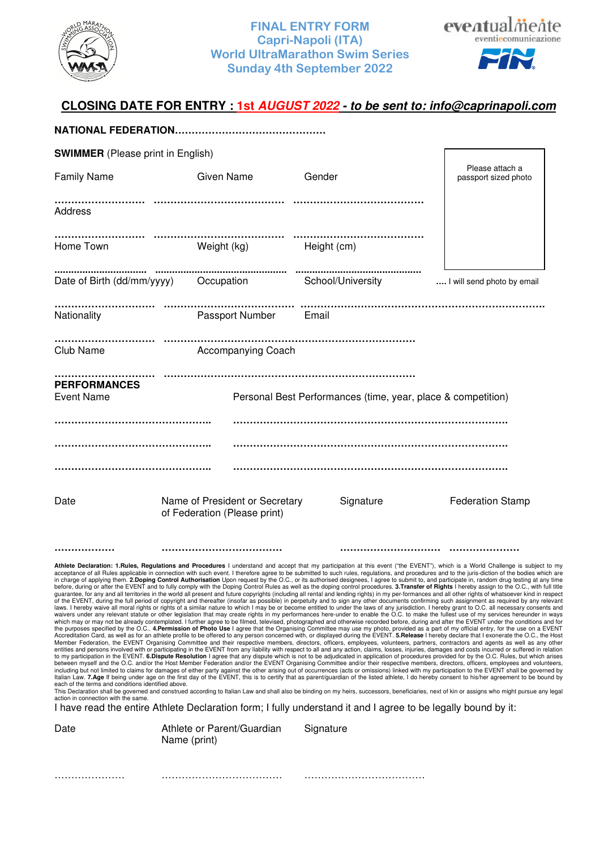

## **FINAL ENTRY FORM Capri-Napoli (ITA) World UltraMarathon Swim Series Sunday 4th September 2022**



# **CLOSING DATE FOR ENTRY : 1st** *AUGUST 2022 - to be sent to: info@caprinapoli.com*

| <b>SWIMMER</b> (Please print in English)                                                          |                                                                                                                                             |                                                              |                                                                                                                                                                                                                                                                                                                                                                                                                                                                                                                                                                                                                                                                                                                                                                                                                                                                                                                                                                                                                                                                                                                                                                                                                                                                                                                                                                                                                                                                                                                                                                                                                                                                                                                                                                                                                                                                                                                                                                                                                                                                                                                                                                                                                                                                                                                                                                                                                                                                                                                                                                                                                                                                                                                                                                                                                                                                                                                                                                                                                                                                                                                                                                                                                                                                                                                                                                                                                                                                                                                                                                                   |
|---------------------------------------------------------------------------------------------------|---------------------------------------------------------------------------------------------------------------------------------------------|--------------------------------------------------------------|-----------------------------------------------------------------------------------------------------------------------------------------------------------------------------------------------------------------------------------------------------------------------------------------------------------------------------------------------------------------------------------------------------------------------------------------------------------------------------------------------------------------------------------------------------------------------------------------------------------------------------------------------------------------------------------------------------------------------------------------------------------------------------------------------------------------------------------------------------------------------------------------------------------------------------------------------------------------------------------------------------------------------------------------------------------------------------------------------------------------------------------------------------------------------------------------------------------------------------------------------------------------------------------------------------------------------------------------------------------------------------------------------------------------------------------------------------------------------------------------------------------------------------------------------------------------------------------------------------------------------------------------------------------------------------------------------------------------------------------------------------------------------------------------------------------------------------------------------------------------------------------------------------------------------------------------------------------------------------------------------------------------------------------------------------------------------------------------------------------------------------------------------------------------------------------------------------------------------------------------------------------------------------------------------------------------------------------------------------------------------------------------------------------------------------------------------------------------------------------------------------------------------------------------------------------------------------------------------------------------------------------------------------------------------------------------------------------------------------------------------------------------------------------------------------------------------------------------------------------------------------------------------------------------------------------------------------------------------------------------------------------------------------------------------------------------------------------------------------------------------------------------------------------------------------------------------------------------------------------------------------------------------------------------------------------------------------------------------------------------------------------------------------------------------------------------------------------------------------------------------------------------------------------------------------------------------------------|
| <b>Family Name</b>                                                                                | <b>Given Name</b>                                                                                                                           | Gender                                                       | Please attach a<br>passport sized photo                                                                                                                                                                                                                                                                                                                                                                                                                                                                                                                                                                                                                                                                                                                                                                                                                                                                                                                                                                                                                                                                                                                                                                                                                                                                                                                                                                                                                                                                                                                                                                                                                                                                                                                                                                                                                                                                                                                                                                                                                                                                                                                                                                                                                                                                                                                                                                                                                                                                                                                                                                                                                                                                                                                                                                                                                                                                                                                                                                                                                                                                                                                                                                                                                                                                                                                                                                                                                                                                                                                                           |
| Address                                                                                           |                                                                                                                                             |                                                              |                                                                                                                                                                                                                                                                                                                                                                                                                                                                                                                                                                                                                                                                                                                                                                                                                                                                                                                                                                                                                                                                                                                                                                                                                                                                                                                                                                                                                                                                                                                                                                                                                                                                                                                                                                                                                                                                                                                                                                                                                                                                                                                                                                                                                                                                                                                                                                                                                                                                                                                                                                                                                                                                                                                                                                                                                                                                                                                                                                                                                                                                                                                                                                                                                                                                                                                                                                                                                                                                                                                                                                                   |
| Home Town                                                                                         | Weight (kg) Height (cm)                                                                                                                     |                                                              |                                                                                                                                                                                                                                                                                                                                                                                                                                                                                                                                                                                                                                                                                                                                                                                                                                                                                                                                                                                                                                                                                                                                                                                                                                                                                                                                                                                                                                                                                                                                                                                                                                                                                                                                                                                                                                                                                                                                                                                                                                                                                                                                                                                                                                                                                                                                                                                                                                                                                                                                                                                                                                                                                                                                                                                                                                                                                                                                                                                                                                                                                                                                                                                                                                                                                                                                                                                                                                                                                                                                                                                   |
|                                                                                                   |                                                                                                                                             |                                                              | I will send photo by email                                                                                                                                                                                                                                                                                                                                                                                                                                                                                                                                                                                                                                                                                                                                                                                                                                                                                                                                                                                                                                                                                                                                                                                                                                                                                                                                                                                                                                                                                                                                                                                                                                                                                                                                                                                                                                                                                                                                                                                                                                                                                                                                                                                                                                                                                                                                                                                                                                                                                                                                                                                                                                                                                                                                                                                                                                                                                                                                                                                                                                                                                                                                                                                                                                                                                                                                                                                                                                                                                                                                                        |
| Nationality                                                                                       | Passport Number                                                                                                                             | Email                                                        |                                                                                                                                                                                                                                                                                                                                                                                                                                                                                                                                                                                                                                                                                                                                                                                                                                                                                                                                                                                                                                                                                                                                                                                                                                                                                                                                                                                                                                                                                                                                                                                                                                                                                                                                                                                                                                                                                                                                                                                                                                                                                                                                                                                                                                                                                                                                                                                                                                                                                                                                                                                                                                                                                                                                                                                                                                                                                                                                                                                                                                                                                                                                                                                                                                                                                                                                                                                                                                                                                                                                                                                   |
| Club Name                                                                                         | <b>Accompanying Coach</b>                                                                                                                   |                                                              |                                                                                                                                                                                                                                                                                                                                                                                                                                                                                                                                                                                                                                                                                                                                                                                                                                                                                                                                                                                                                                                                                                                                                                                                                                                                                                                                                                                                                                                                                                                                                                                                                                                                                                                                                                                                                                                                                                                                                                                                                                                                                                                                                                                                                                                                                                                                                                                                                                                                                                                                                                                                                                                                                                                                                                                                                                                                                                                                                                                                                                                                                                                                                                                                                                                                                                                                                                                                                                                                                                                                                                                   |
| <b>PERFORMANCES</b><br><b>Event Name</b>                                                          |                                                                                                                                             | Personal Best Performances (time, year, place & competition) |                                                                                                                                                                                                                                                                                                                                                                                                                                                                                                                                                                                                                                                                                                                                                                                                                                                                                                                                                                                                                                                                                                                                                                                                                                                                                                                                                                                                                                                                                                                                                                                                                                                                                                                                                                                                                                                                                                                                                                                                                                                                                                                                                                                                                                                                                                                                                                                                                                                                                                                                                                                                                                                                                                                                                                                                                                                                                                                                                                                                                                                                                                                                                                                                                                                                                                                                                                                                                                                                                                                                                                                   |
|                                                                                                   |                                                                                                                                             |                                                              |                                                                                                                                                                                                                                                                                                                                                                                                                                                                                                                                                                                                                                                                                                                                                                                                                                                                                                                                                                                                                                                                                                                                                                                                                                                                                                                                                                                                                                                                                                                                                                                                                                                                                                                                                                                                                                                                                                                                                                                                                                                                                                                                                                                                                                                                                                                                                                                                                                                                                                                                                                                                                                                                                                                                                                                                                                                                                                                                                                                                                                                                                                                                                                                                                                                                                                                                                                                                                                                                                                                                                                                   |
| Date                                                                                              | Name of President or Secretary<br>of Federation (Please print)                                                                              | Signature                                                    | <b>Federation Stamp</b>                                                                                                                                                                                                                                                                                                                                                                                                                                                                                                                                                                                                                                                                                                                                                                                                                                                                                                                                                                                                                                                                                                                                                                                                                                                                                                                                                                                                                                                                                                                                                                                                                                                                                                                                                                                                                                                                                                                                                                                                                                                                                                                                                                                                                                                                                                                                                                                                                                                                                                                                                                                                                                                                                                                                                                                                                                                                                                                                                                                                                                                                                                                                                                                                                                                                                                                                                                                                                                                                                                                                                           |
|                                                                                                   |                                                                                                                                             |                                                              |                                                                                                                                                                                                                                                                                                                                                                                                                                                                                                                                                                                                                                                                                                                                                                                                                                                                                                                                                                                                                                                                                                                                                                                                                                                                                                                                                                                                                                                                                                                                                                                                                                                                                                                                                                                                                                                                                                                                                                                                                                                                                                                                                                                                                                                                                                                                                                                                                                                                                                                                                                                                                                                                                                                                                                                                                                                                                                                                                                                                                                                                                                                                                                                                                                                                                                                                                                                                                                                                                                                                                                                   |
| each of the terms and conditions identified above.<br>action in connection with the same.<br>Date | I have read the entire Athlete Declaration form; I fully understand it and I agree to be legally bound by it:<br>Athlete or Parent/Guardian | Signature                                                    | Athlete Declaration: 1.Rules, Regulations and Procedures I understand and accept that my participation at this event ("the EVENT"), which is a World Challenge is subject to my<br>acceptance of all Rules applicable in connection with such event. I therefore agree to be submitted to such rules, regulations, and procedures and to the juris-diction of the bodies which are<br>in charge of applying them. 2.Doping Control Authorisation Upon request by the O.C., or its authorised designees, I agree to submit to, and participate in, random drug testing at any time<br>before, during or after the EVENT and to fully comply with the Doping Control Rules as well as the doping control procedures. 3. Transfer of Rights I hereby assign to the O.C., with full title<br>guarantee, for any and all territories in the world all present and future copyrights (including all rental and lending rights) in my per-formances and all other rights of whatsoever kind in respect<br>of the EVENT, during the full period of copyright and thereafter (insofar as possible) in perpetuity and to sign any other documents confirming such assignment as required by any relevant<br>laws. I hereby waive all moral rights or rights of a similar nature to which I may be or become entitled to under the laws of any jurisdiction. I hereby grant to O.C. all necessary consents and<br>waivers under any relevant statute or other legislation that may create rights in my performances here-under to enable the O.C. to make the fullest use of my services hereunder in ways<br>which may or may not be already contemplated. I further agree to be filmed, televised, photographed and otherwise recorded before, during and after the EVENT under the conditions and for<br>the purposes specified by the O.C 4.Permission of Photo Use I agree that the Organising Committee may use my photo, provided as a part of my official entry, for the use on a EVENT<br>Accreditation Card, as well as for an athlete profile to be offered to any person concerned with, or displayed during the EVENT. 5.Release I hereby declare that I exonerate the O.C., the Host<br>Member Federation, the EVENT Organising Committee and their respective members, directors, officers, employees, volunteers, partners, contractors and agents as well as any other<br>entities and persons involved with or participating in the EVENT from any liability with respect to all and any action, claims, losses, injuries, damages and costs incurred or suffered in relation<br>to my participation in the EVENT. 6.Dispute Resolution I agree that any dispute which is not to be adjudicated in application of procedures provided for by the O.C. Rules, but which arises<br>between myself and the O.C. and/or the Host Member Federation and/or the EVENT Organising Committee and/or their respective members, directors, officers, employees and volunteers,<br>including but not limited to claims for damages of either party against the other arising out of occurrences (acts or omissions) linked with my participation to the EVENT shall be governed by<br>Italian Law. 7.Age If being under age on the first day of the EVENT, this is to certify that as parent/guardian of the listed athlete, I do hereby consent to his/her agreement to be bound by<br>This Declaration shall be governed and construed according to Italian Law and shall also be binding on my heirs, successors, beneficiaries, next of kin or assigns who might pursue any legal |
|                                                                                                   | Name (print)                                                                                                                                |                                                              |                                                                                                                                                                                                                                                                                                                                                                                                                                                                                                                                                                                                                                                                                                                                                                                                                                                                                                                                                                                                                                                                                                                                                                                                                                                                                                                                                                                                                                                                                                                                                                                                                                                                                                                                                                                                                                                                                                                                                                                                                                                                                                                                                                                                                                                                                                                                                                                                                                                                                                                                                                                                                                                                                                                                                                                                                                                                                                                                                                                                                                                                                                                                                                                                                                                                                                                                                                                                                                                                                                                                                                                   |

………………… ……………………………… ………………………………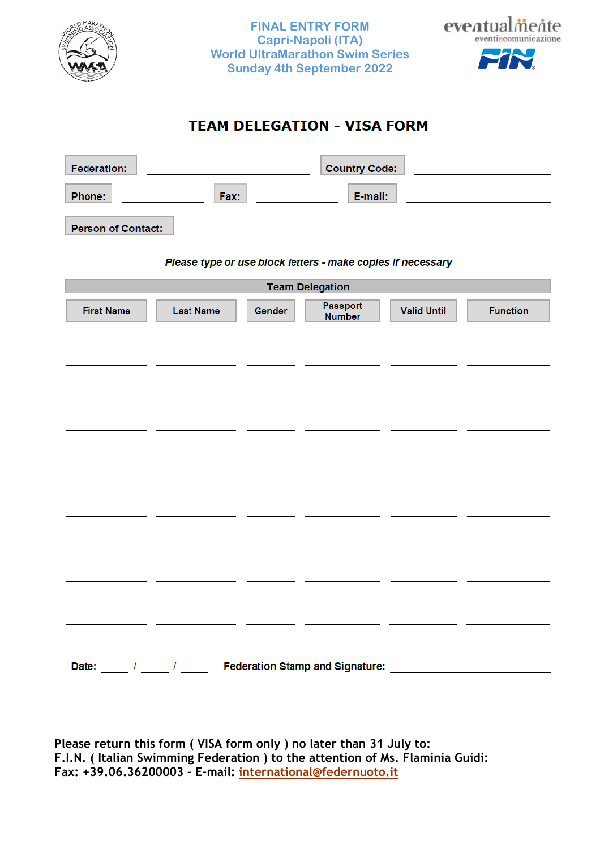



# **TEAM DELEGATION - VISA FORM**

| <b>Federation:</b>        |      | <b>Country Code:</b> |  |
|---------------------------|------|----------------------|--|
| <b>Phone:</b>             | Fax: | E-mail:              |  |
| <b>Person of Contact:</b> |      |                      |  |

#### Please type or use block letters - make copies if necessary

| <b>Team Delegation</b>               |                  |        |                                        |                    |                 |
|--------------------------------------|------------------|--------|----------------------------------------|--------------------|-----------------|
| <b>First Name</b>                    | <b>Last Name</b> | Gender | Passport<br><b>Number</b>              | <b>Valid Until</b> | <b>Function</b> |
|                                      |                  |        |                                        |                    |                 |
|                                      |                  |        |                                        |                    |                 |
|                                      |                  |        |                                        |                    |                 |
|                                      |                  |        |                                        |                    |                 |
|                                      |                  |        |                                        |                    |                 |
|                                      |                  |        |                                        |                    |                 |
|                                      |                  |        |                                        |                    |                 |
|                                      |                  |        |                                        |                    |                 |
|                                      |                  |        |                                        |                    |                 |
|                                      |                  |        |                                        |                    |                 |
|                                      |                  |        |                                        |                    |                 |
|                                      |                  |        |                                        |                    |                 |
|                                      |                  |        |                                        |                    |                 |
|                                      |                  |        |                                        |                    |                 |
|                                      |                  |        |                                        |                    |                 |
|                                      |                  |        |                                        |                    |                 |
| Date:<br>$\frac{1}{2}$ $\frac{1}{2}$ |                  |        | <b>Federation Stamp and Signature:</b> |                    |                 |

**Please return this form ( VISA form only ) no later than 31 July to: F.I.N. ( Italian Swimming Federation ) to the attention of Ms. Flaminia Guidi: Fax: +39.06.36200003 – E-mail: international@federnuoto.it**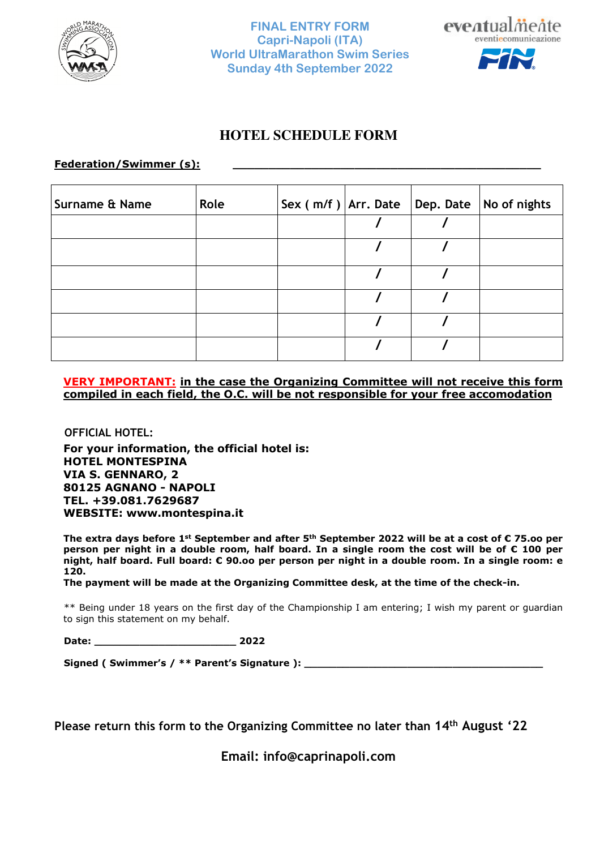



# **HOTEL SCHEDULE FORM**

### Federation/Swimmer (s):

| <b>Surname &amp; Name</b> | Role |  | Sex $(m/f)$ Arr. Date Dep. Date No of nights |
|---------------------------|------|--|----------------------------------------------|
|                           |      |  |                                              |
|                           |      |  |                                              |
|                           |      |  |                                              |
|                           |      |  |                                              |
|                           |      |  |                                              |
|                           |      |  |                                              |

### **VERY IMPORTANT: in the case the Organizing Committee will not receive this form compiled in each field, the O.C. will be not responsible for your free accomodation**

**OFFICIAL HOTEL:** 

**For your information, the official hotel is: HOTEL MONTESPINA VIA S. GENNARO, 2 80125 AGNANO - NAPOLI TEL. +39.081.7629687 WEBSITE: www.montespina.it** 

**The extra days before 1st September and after 5th September 2022 will be at a cost of € 75.oo per person per night in a double room, half board. In a single room the cost will be of € 100 per night, half board. Full board: € 90.oo per person per night in a double room. In a single room: e 120.** 

**The payment will be made at the Organizing Committee desk, at the time of the check-in.** 

 \*\* Being under 18 years on the first day of the Championship I am entering; I wish my parent or guardian to sign this statement on my behalf.

 **Date: \_\_\_\_\_\_\_\_\_\_\_\_\_\_\_\_\_\_\_\_\_\_ 2022** 

 **Signed ( Swimmer's / \*\* Parent's Signature ): \_\_\_\_\_\_\_\_\_\_\_\_\_\_\_\_\_\_\_\_\_\_\_\_\_\_\_\_\_\_\_\_\_\_\_\_\_** 

**Please return this form to the Organizing Committee no later than 14th August '22** 

**Email: info@caprinapoli.com**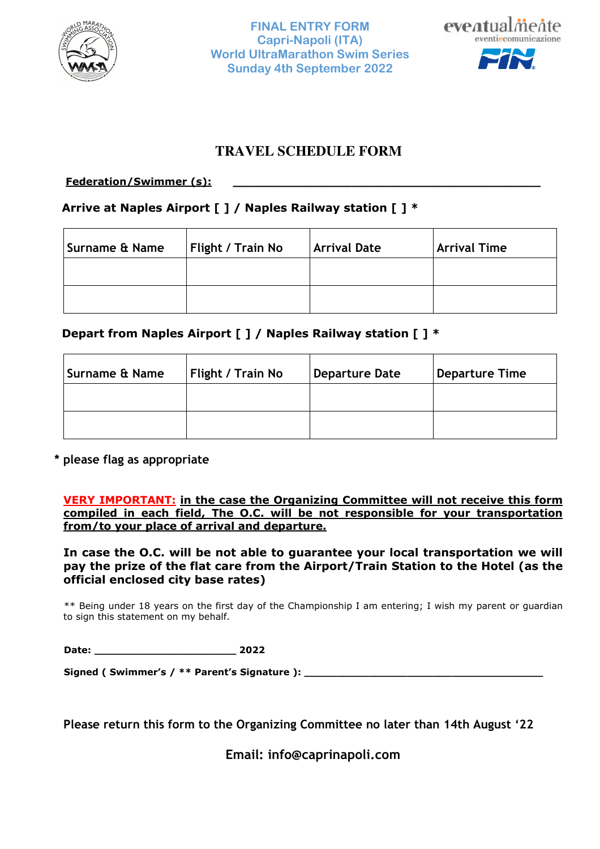



# **TRAVEL SCHEDULE FORM**

## **Federation/Swimmer (s):**

# **Arrive at Naples Airport [ ] / Naples Railway station [ ] \***

| Surname & Name | <b>Flight / Train No</b> | <b>Arrival Date</b> | <b>Arrival Time</b> |
|----------------|--------------------------|---------------------|---------------------|
|                |                          |                     |                     |
|                |                          |                     |                     |

# **Depart from Naples Airport [ ] / Naples Railway station [ ] \***

| Surname & Name | <b>Flight / Train No</b> | Departure Date | <b>Departure Time</b> |
|----------------|--------------------------|----------------|-----------------------|
|                |                          |                |                       |
|                |                          |                |                       |

**\* please flag as appropriate** 

**VERY IMPORTANT: in the case the Organizing Committee will not receive this form compiled in each field, The O.C. will be not responsible for your transportation from/to your place of arrival and departure.** 

**In case the O.C. will be not able to guarantee your local transportation we will pay the prize of the flat care from the Airport/Train Station to the Hotel (as the official enclosed city base rates)** 

 \*\* Being under 18 years on the first day of the Championship I am entering; I wish my parent or guardian to sign this statement on my behalf.

| Date: | 2022 |
|-------|------|
|       |      |

 **Signed ( Swimmer's / \*\* Parent's Signature ): \_\_\_\_\_\_\_\_\_\_\_\_\_\_\_\_\_\_\_\_\_\_\_\_\_\_\_\_\_\_\_\_\_\_\_\_\_** 

**Please return this form to the Organizing Committee no later than 14th August '22** 

**Email: info@caprinapoli.com**